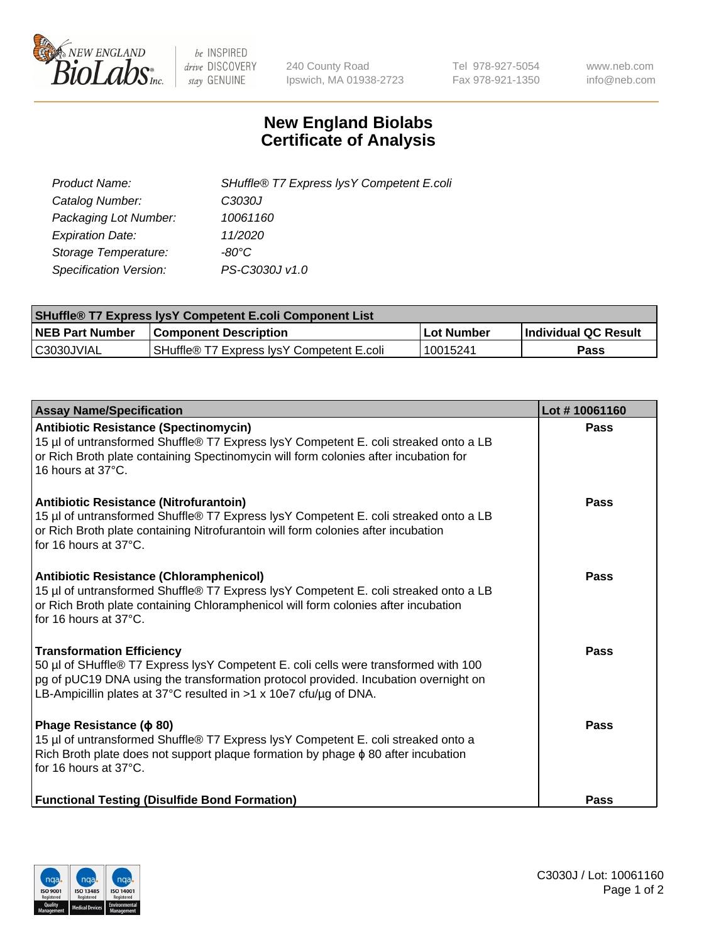

 $be$  INSPIRED drive DISCOVERY stay GENUINE

240 County Road Ipswich, MA 01938-2723 Tel 978-927-5054 Fax 978-921-1350 www.neb.com info@neb.com

## **New England Biolabs Certificate of Analysis**

| Product Name:           | SHuffle® T7 Express lysY Competent E.coli |
|-------------------------|-------------------------------------------|
| Catalog Number:         | C3030J                                    |
| Packaging Lot Number:   | 10061160                                  |
| <b>Expiration Date:</b> | 11/2020                                   |
| Storage Temperature:    | -80°C                                     |
| Specification Version:  | PS-C3030J v1.0                            |

| <b>SHuffle® T7 Express lysY Competent E.coli Component List</b> |                                           |                   |                             |  |
|-----------------------------------------------------------------|-------------------------------------------|-------------------|-----------------------------|--|
| <b>NEB Part Number</b>                                          | <b>Component Description</b>              | <b>Lot Number</b> | <b>Individual QC Result</b> |  |
| C3030JVIAL                                                      | SHuffle® T7 Express IysY Competent E.coli | 10015241          | Pass                        |  |

| <b>Assay Name/Specification</b>                                                                                                                                                                                                                                                     | Lot #10061160 |
|-------------------------------------------------------------------------------------------------------------------------------------------------------------------------------------------------------------------------------------------------------------------------------------|---------------|
| Antibiotic Resistance (Spectinomycin)<br>15 µl of untransformed Shuffle® T7 Express lysY Competent E. coli streaked onto a LB<br>or Rich Broth plate containing Spectinomycin will form colonies after incubation for<br>16 hours at 37°C.                                          | Pass          |
| Antibiotic Resistance (Nitrofurantoin)<br>15 µl of untransformed Shuffle® T7 Express lysY Competent E. coli streaked onto a LB<br>or Rich Broth plate containing Nitrofurantoin will form colonies after incubation<br>for 16 hours at 37°C.                                        | Pass          |
| Antibiotic Resistance (Chloramphenicol)<br>15 µl of untransformed Shuffle® T7 Express lysY Competent E. coli streaked onto a LB<br>or Rich Broth plate containing Chloramphenicol will form colonies after incubation<br>for 16 hours at 37°C.                                      | Pass          |
| <b>Transformation Efficiency</b><br>50 µl of SHuffle® T7 Express lysY Competent E. coli cells were transformed with 100<br>pg of pUC19 DNA using the transformation protocol provided. Incubation overnight on<br>LB-Ampicillin plates at 37°C resulted in >1 x 10e7 cfu/ug of DNA. | Pass          |
| Phage Resistance ( $\phi$ 80)<br>15 µl of untransformed Shuffle® T7 Express lysY Competent E. coli streaked onto a<br>Rich Broth plate does not support plaque formation by phage $\phi$ 80 after incubation<br>for 16 hours at 37°C.                                               | Pass          |
| <b>Functional Testing (Disulfide Bond Formation)</b>                                                                                                                                                                                                                                | Pass          |